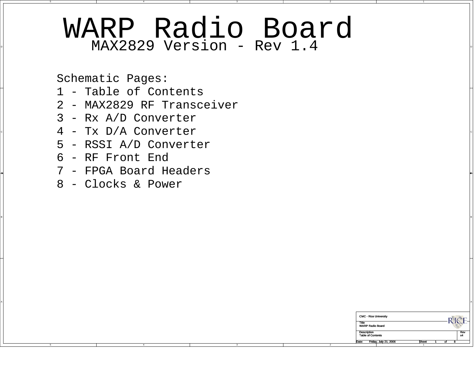## $\texttt{MAX2829}$  Version - Rev 1.4  $\blacksquare$ WARP Radio Board

BI<br>BI

A

2

2

Schematic Pages:

- 1 Table of Contents
- 2 MAX2829 RF Transceiver
- 3 Rx A/D Converter
- $\mathcal{A}$  Tx D/A Converter  $\mathcal{A}$ 
	- 5 RSSI A/D Converter
	- 6 RF Front End

C

B

A

- 7 FPGA Board Headers
- 8 Clocks & Power

| <b>CMC - Rice University</b>     |              |          |   |     |
|----------------------------------|--------------|----------|---|-----|
| Title<br><b>WARP Radio Board</b> |              |          |   |     |
| <b>Description</b>               |              |          |   | Rev |
| <b>Table of Contents</b>         |              |          |   | x4  |
| Date:<br>Friday, July 21, 2006   | <b>Sheet</b> | $\alpha$ | я |     |
|                                  |              |          |   |     |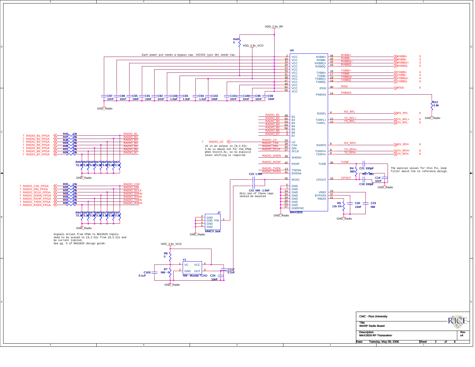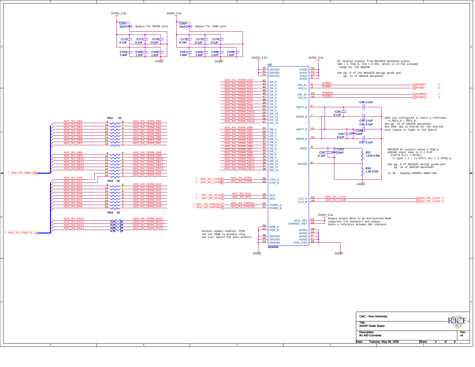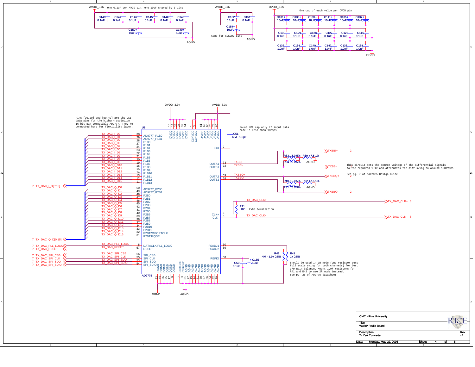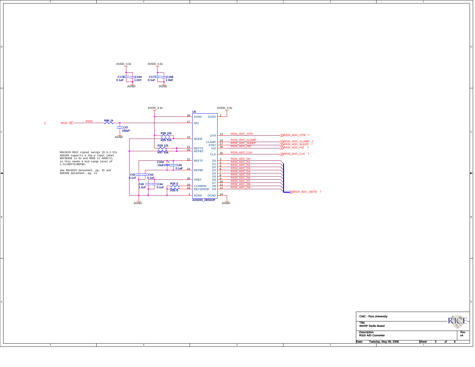AVDD\_3.3v DVDD\_3.3v AGND DGND C178—1C164<br>0.1uF C177  $C$ 168<br>0.1uF

C

B

A



D

BI<br>BI

A

| <b>CMC - Rice University</b>                    |              |   |    |   |           |
|-------------------------------------------------|--------------|---|----|---|-----------|
| Title<br><b>WARP Radio Board</b>                |              |   |    |   |           |
| <b>Description</b><br><b>RSSI A/D Converter</b> |              |   |    |   | Rev<br>x4 |
| Date:<br>Tuesday, May 09, 2006                  | <b>Sheet</b> | 5 | ΩÍ | я |           |

2

2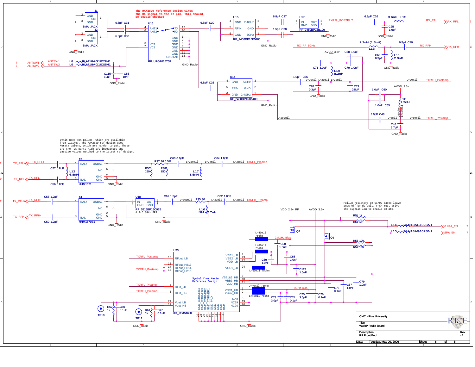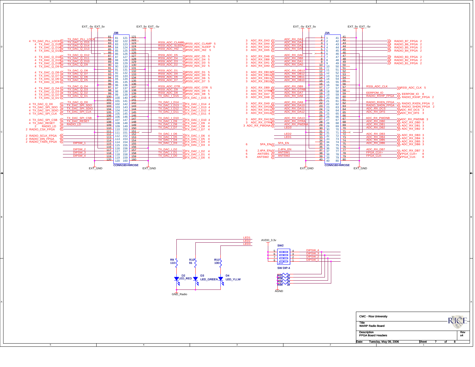

C

B

A



2



BI<br>BI

A



2

| <b>CMC - Rice University</b>                    |              |    |           |
|-------------------------------------------------|--------------|----|-----------|
| Title<br><b>WARP Radio Board</b>                |              |    |           |
| <b>Description</b><br><b>FPGA Board Headers</b> |              |    | Rev<br>x4 |
| Date:<br>Tuesday, May 09, 2006                  | <b>Sheet</b> | оf |           |